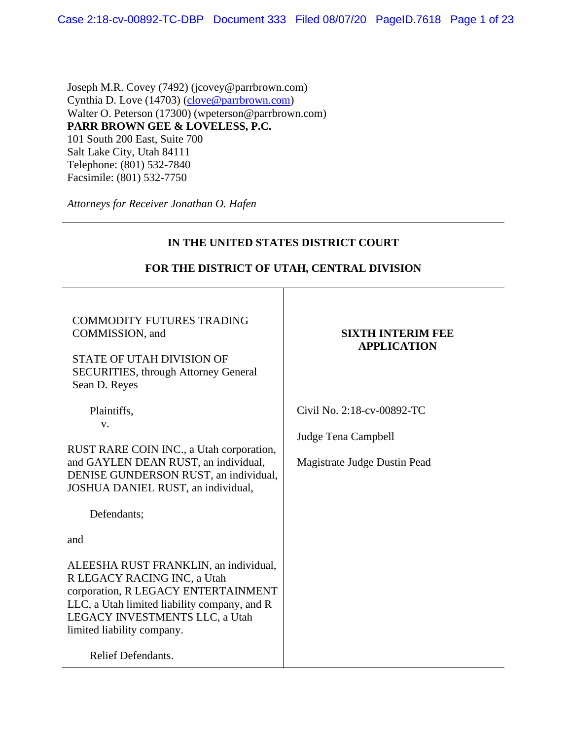Joseph M.R. Covey (7492) (jcovey@parrbrown.com) Cynthia D. Love (14703) [\(clove@parrbrown.com\)](mailto:clove@parrbrown.com) Walter O. Peterson (17300) (wpeterson@parrbrown.com) **PARR BROWN GEE & LOVELESS, P.C.**  101 South 200 East, Suite 700 Salt Lake City, Utah 84111 Telephone: (801) 532-7840 Facsimile: (801) 532-7750

*Attorneys for Receiver Jonathan O. Hafen*

| IN THE UNITED STATES DISTRICT COURT                                                                                                                                                                                                               |                                                                                   |  |
|---------------------------------------------------------------------------------------------------------------------------------------------------------------------------------------------------------------------------------------------------|-----------------------------------------------------------------------------------|--|
| FOR THE DISTRICT OF UTAH, CENTRAL DIVISION                                                                                                                                                                                                        |                                                                                   |  |
| <b>COMMODITY FUTURES TRADING</b><br>COMMISSION, and<br><b>STATE OF UTAH DIVISION OF</b><br><b>SECURITIES, through Attorney General</b><br>Sean D. Reyes                                                                                           | <b>SIXTH INTERIM FEE</b><br><b>APPLICATION</b>                                    |  |
| Plaintiffs,<br>V.<br>RUST RARE COIN INC., a Utah corporation,<br>and GAYLEN DEAN RUST, an individual,<br>DENISE GUNDERSON RUST, an individual,<br>JOSHUA DANIEL RUST, an individual,                                                              | Civil No. 2:18-cv-00892-TC<br>Judge Tena Campbell<br>Magistrate Judge Dustin Pead |  |
| Defendants;<br>and                                                                                                                                                                                                                                |                                                                                   |  |
| ALEESHA RUST FRANKLIN, an individual,<br>R LEGACY RACING INC, a Utah<br>corporation, R LEGACY ENTERTAINMENT<br>LLC, a Utah limited liability company, and R<br>LEGACY INVESTMENTS LLC, a Utah<br>limited liability company.<br>Relief Defendants. |                                                                                   |  |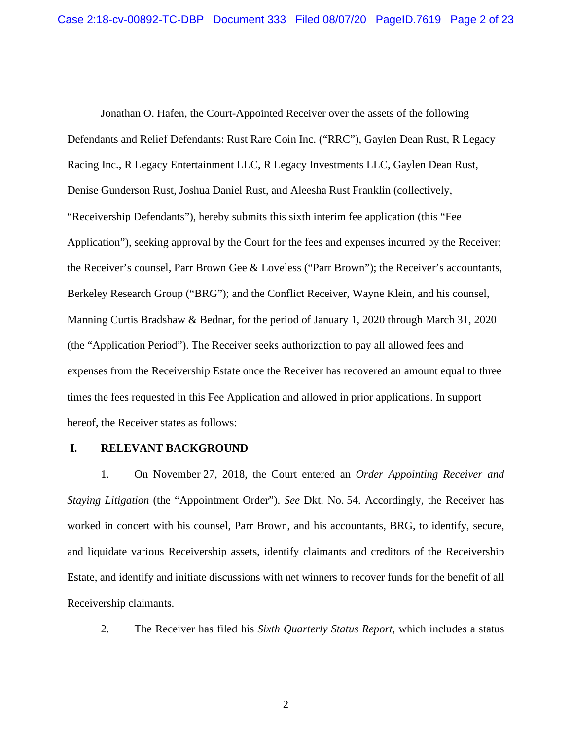Jonathan O. Hafen, the Court-Appointed Receiver over the assets of the following Defendants and Relief Defendants: Rust Rare Coin Inc. ("RRC"), Gaylen Dean Rust, R Legacy Racing Inc., R Legacy Entertainment LLC, R Legacy Investments LLC, Gaylen Dean Rust, Denise Gunderson Rust, Joshua Daniel Rust, and Aleesha Rust Franklin (collectively, "Receivership Defendants"), hereby submits this sixth interim fee application (this "Fee Application"), seeking approval by the Court for the fees and expenses incurred by the Receiver; the Receiver's counsel, Parr Brown Gee & Loveless ("Parr Brown"); the Receiver's accountants, Berkeley Research Group ("BRG"); and the Conflict Receiver, Wayne Klein, and his counsel, Manning Curtis Bradshaw & Bednar, for the period of January 1, 2020 through March 31, 2020 (the "Application Period"). The Receiver seeks authorization to pay all allowed fees and expenses from the Receivership Estate once the Receiver has recovered an amount equal to three times the fees requested in this Fee Application and allowed in prior applications. In support hereof, the Receiver states as follows:

## **I. RELEVANT BACKGROUND**

1. On November 27, 2018, the Court entered an *Order Appointing Receiver and Staying Litigation* (the "Appointment Order"). *See* Dkt. No. 54. Accordingly, the Receiver has worked in concert with his counsel, Parr Brown, and his accountants, BRG, to identify, secure, and liquidate various Receivership assets, identify claimants and creditors of the Receivership Estate, and identify and initiate discussions with net winners to recover funds for the benefit of all Receivership claimants.

2. The Receiver has filed his *Sixth Quarterly Status Report*, which includes a status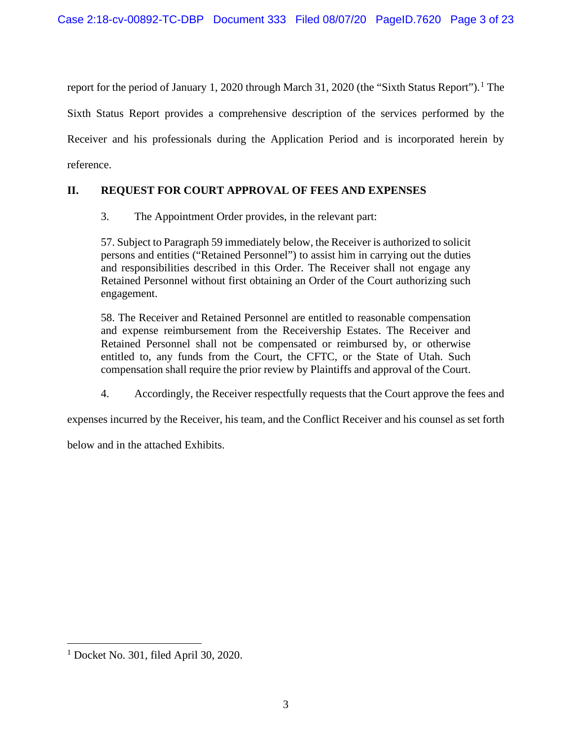report for the period of January [1](#page-2-0), 2020 through March 31, 2020 (the "Sixth Status Report").<sup>1</sup> The Sixth Status Report provides a comprehensive description of the services performed by the Receiver and his professionals during the Application Period and is incorporated herein by reference.

# **II. REQUEST FOR COURT APPROVAL OF FEES AND EXPENSES**

3. The Appointment Order provides, in the relevant part:

57. Subject to Paragraph 59 immediately below, the Receiver is authorized to solicit persons and entities ("Retained Personnel") to assist him in carrying out the duties and responsibilities described in this Order. The Receiver shall not engage any Retained Personnel without first obtaining an Order of the Court authorizing such engagement.

58. The Receiver and Retained Personnel are entitled to reasonable compensation and expense reimbursement from the Receivership Estates. The Receiver and Retained Personnel shall not be compensated or reimbursed by, or otherwise entitled to, any funds from the Court, the CFTC, or the State of Utah. Such compensation shall require the prior review by Plaintiffs and approval of the Court.

4. Accordingly, the Receiver respectfully requests that the Court approve the fees and

expenses incurred by the Receiver, his team, and the Conflict Receiver and his counsel as set forth

below and in the attached Exhibits.

<span id="page-2-0"></span><sup>1</sup> Docket No. 301, filed April 30, 2020.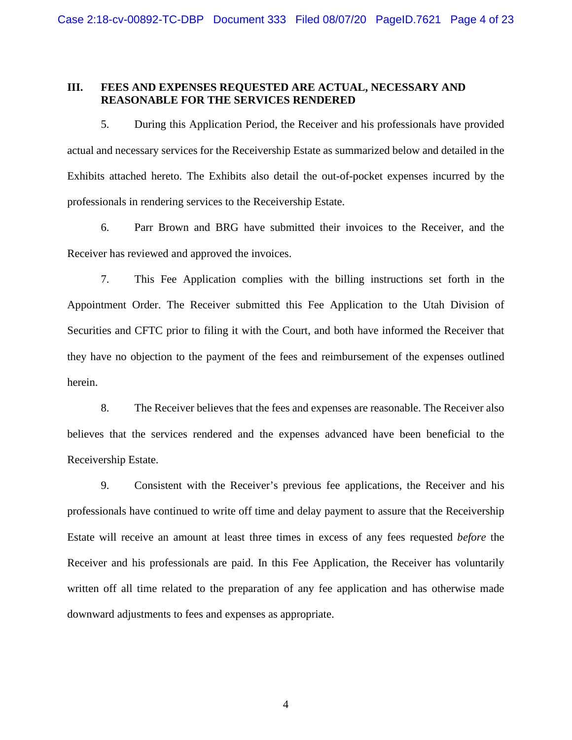## **III. FEES AND EXPENSES REQUESTED ARE ACTUAL, NECESSARY AND REASONABLE FOR THE SERVICES RENDERED**

5. During this Application Period, the Receiver and his professionals have provided actual and necessary services for the Receivership Estate as summarized below and detailed in the Exhibits attached hereto. The Exhibits also detail the out-of-pocket expenses incurred by the professionals in rendering services to the Receivership Estate.

6. Parr Brown and BRG have submitted their invoices to the Receiver, and the Receiver has reviewed and approved the invoices.

7. This Fee Application complies with the billing instructions set forth in the Appointment Order. The Receiver submitted this Fee Application to the Utah Division of Securities and CFTC prior to filing it with the Court, and both have informed the Receiver that they have no objection to the payment of the fees and reimbursement of the expenses outlined herein.

8. The Receiver believes that the fees and expenses are reasonable. The Receiver also believes that the services rendered and the expenses advanced have been beneficial to the Receivership Estate.

9. Consistent with the Receiver's previous fee applications, the Receiver and his professionals have continued to write off time and delay payment to assure that the Receivership Estate will receive an amount at least three times in excess of any fees requested *before* the Receiver and his professionals are paid. In this Fee Application, the Receiver has voluntarily written off all time related to the preparation of any fee application and has otherwise made downward adjustments to fees and expenses as appropriate.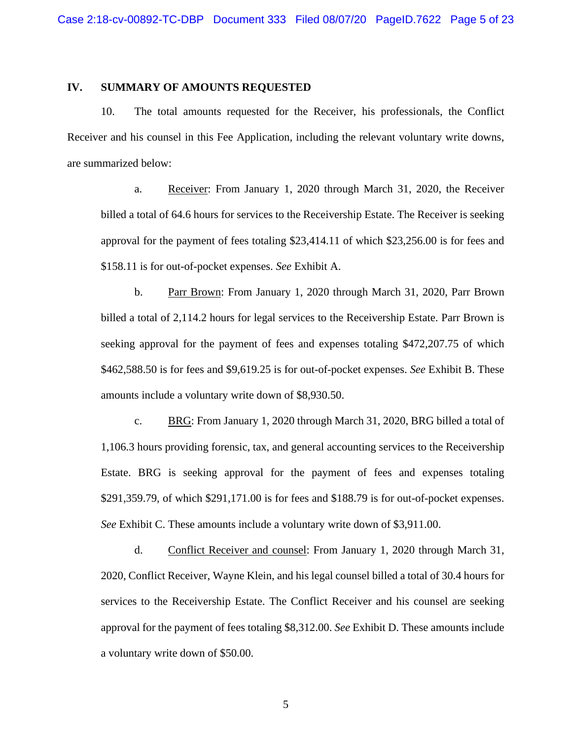### **IV. SUMMARY OF AMOUNTS REQUESTED**

10. The total amounts requested for the Receiver, his professionals, the Conflict Receiver and his counsel in this Fee Application, including the relevant voluntary write downs, are summarized below:

a. Receiver: From January 1, 2020 through March 31, 2020, the Receiver billed a total of 64.6 hours for services to the Receivership Estate. The Receiver is seeking approval for the payment of fees totaling \$23,414.11 of which \$23,256.00 is for fees and \$158.11 is for out-of-pocket expenses. *See* Exhibit A.

b. Parr Brown: From January 1, 2020 through March 31, 2020, Parr Brown billed a total of 2,114.2 hours for legal services to the Receivership Estate. Parr Brown is seeking approval for the payment of fees and expenses totaling \$472,207.75 of which \$462,588.50 is for fees and \$9,619.25 is for out-of-pocket expenses. *See* Exhibit B. These amounts include a voluntary write down of \$8,930.50.

c. BRG: From January 1, 2020 through March 31, 2020, BRG billed a total of 1,106.3 hours providing forensic, tax, and general accounting services to the Receivership Estate. BRG is seeking approval for the payment of fees and expenses totaling \$291,359.79, of which \$291,171.00 is for fees and \$188.79 is for out-of-pocket expenses. *See* Exhibit C. These amounts include a voluntary write down of \$3,911.00.

d. Conflict Receiver and counsel: From January 1, 2020 through March 31, 2020, Conflict Receiver, Wayne Klein, and his legal counsel billed a total of 30.4 hours for services to the Receivership Estate. The Conflict Receiver and his counsel are seeking approval for the payment of fees totaling \$8,312.00. *See* Exhibit D. These amounts include a voluntary write down of \$50.00.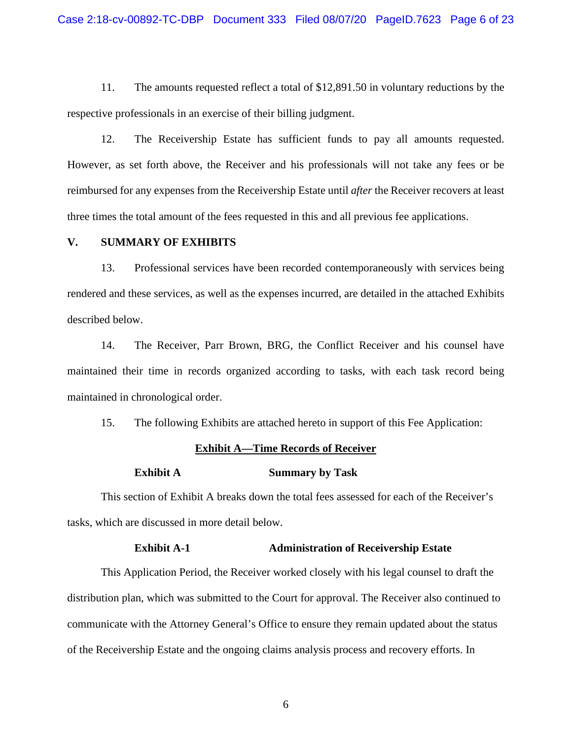11. The amounts requested reflect a total of \$12,891.50 in voluntary reductions by the respective professionals in an exercise of their billing judgment.

12. The Receivership Estate has sufficient funds to pay all amounts requested. However, as set forth above, the Receiver and his professionals will not take any fees or be reimbursed for any expenses from the Receivership Estate until *after* the Receiver recovers at least three times the total amount of the fees requested in this and all previous fee applications.

### **V. SUMMARY OF EXHIBITS**

13. Professional services have been recorded contemporaneously with services being rendered and these services, as well as the expenses incurred, are detailed in the attached Exhibits described below.

14. The Receiver, Parr Brown, BRG, the Conflict Receiver and his counsel have maintained their time in records organized according to tasks, with each task record being maintained in chronological order.

15. The following Exhibits are attached hereto in support of this Fee Application:

#### **Exhibit A—Time Records of Receiver**

#### **Exhibit A Summary by Task**

This section of Exhibit A breaks down the total fees assessed for each of the Receiver's tasks, which are discussed in more detail below.

### **Exhibit A-1 Administration of Receivership Estate**

This Application Period, the Receiver worked closely with his legal counsel to draft the distribution plan, which was submitted to the Court for approval. The Receiver also continued to communicate with the Attorney General's Office to ensure they remain updated about the status of the Receivership Estate and the ongoing claims analysis process and recovery efforts. In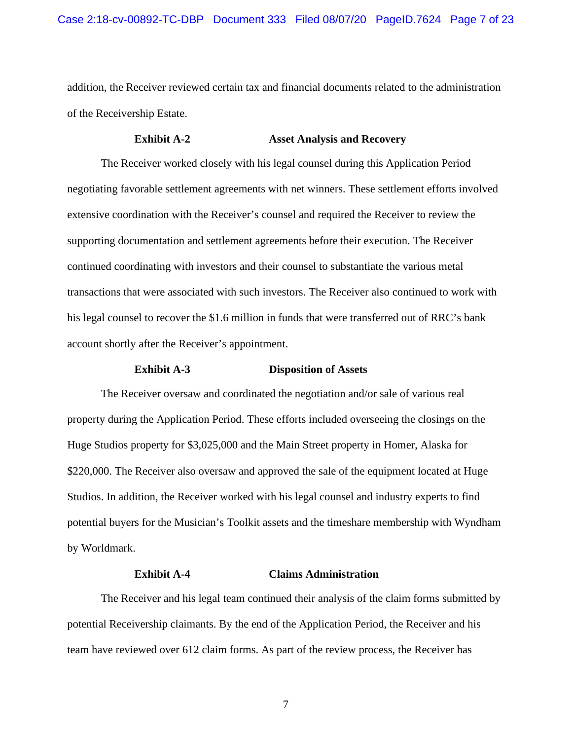addition, the Receiver reviewed certain tax and financial documents related to the administration of the Receivership Estate.

## **Exhibit A-2 Asset Analysis and Recovery**

The Receiver worked closely with his legal counsel during this Application Period negotiating favorable settlement agreements with net winners. These settlement efforts involved extensive coordination with the Receiver's counsel and required the Receiver to review the supporting documentation and settlement agreements before their execution. The Receiver continued coordinating with investors and their counsel to substantiate the various metal transactions that were associated with such investors. The Receiver also continued to work with his legal counsel to recover the \$1.6 million in funds that were transferred out of RRC's bank account shortly after the Receiver's appointment.

#### **Exhibit A-3 Disposition of Assets**

The Receiver oversaw and coordinated the negotiation and/or sale of various real property during the Application Period. These efforts included overseeing the closings on the Huge Studios property for \$3,025,000 and the Main Street property in Homer, Alaska for \$220,000. The Receiver also oversaw and approved the sale of the equipment located at Huge Studios. In addition, the Receiver worked with his legal counsel and industry experts to find potential buyers for the Musician's Toolkit assets and the timeshare membership with Wyndham by Worldmark.

### **Exhibit A-4 Claims Administration**

The Receiver and his legal team continued their analysis of the claim forms submitted by potential Receivership claimants. By the end of the Application Period, the Receiver and his team have reviewed over 612 claim forms. As part of the review process, the Receiver has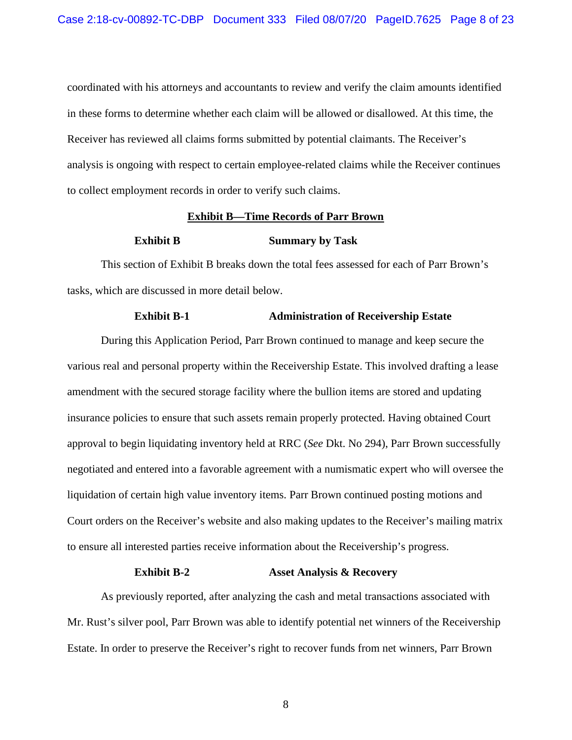coordinated with his attorneys and accountants to review and verify the claim amounts identified in these forms to determine whether each claim will be allowed or disallowed. At this time, the Receiver has reviewed all claims forms submitted by potential claimants. The Receiver's analysis is ongoing with respect to certain employee-related claims while the Receiver continues to collect employment records in order to verify such claims.

#### **Exhibit B—Time Records of Parr Brown**

#### **Exhibit B Summary by Task**

This section of Exhibit B breaks down the total fees assessed for each of Parr Brown's tasks, which are discussed in more detail below.

### **Exhibit B-1** Administration of Receivership Estate

During this Application Period, Parr Brown continued to manage and keep secure the various real and personal property within the Receivership Estate. This involved drafting a lease amendment with the secured storage facility where the bullion items are stored and updating insurance policies to ensure that such assets remain properly protected. Having obtained Court approval to begin liquidating inventory held at RRC (*See* Dkt. No 294), Parr Brown successfully negotiated and entered into a favorable agreement with a numismatic expert who will oversee the liquidation of certain high value inventory items. Parr Brown continued posting motions and Court orders on the Receiver's website and also making updates to the Receiver's mailing matrix to ensure all interested parties receive information about the Receivership's progress.

## **Exhibit B-2 Asset Analysis & Recovery**

As previously reported, after analyzing the cash and metal transactions associated with Mr. Rust's silver pool, Parr Brown was able to identify potential net winners of the Receivership Estate. In order to preserve the Receiver's right to recover funds from net winners, Parr Brown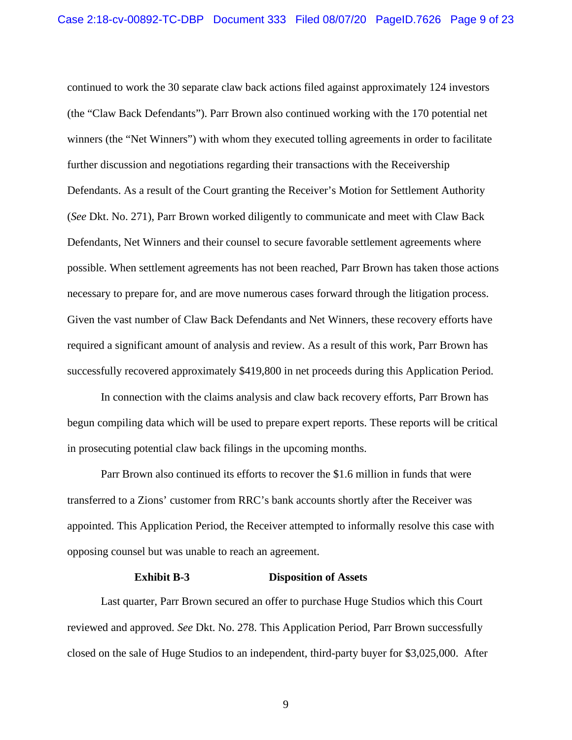continued to work the 30 separate claw back actions filed against approximately 124 investors (the "Claw Back Defendants"). Parr Brown also continued working with the 170 potential net winners (the "Net Winners") with whom they executed tolling agreements in order to facilitate further discussion and negotiations regarding their transactions with the Receivership Defendants. As a result of the Court granting the Receiver's Motion for Settlement Authority (*See* Dkt. No. 271), Parr Brown worked diligently to communicate and meet with Claw Back Defendants, Net Winners and their counsel to secure favorable settlement agreements where possible. When settlement agreements has not been reached, Parr Brown has taken those actions necessary to prepare for, and are move numerous cases forward through the litigation process. Given the vast number of Claw Back Defendants and Net Winners, these recovery efforts have required a significant amount of analysis and review. As a result of this work, Parr Brown has successfully recovered approximately \$419,800 in net proceeds during this Application Period.

In connection with the claims analysis and claw back recovery efforts, Parr Brown has begun compiling data which will be used to prepare expert reports. These reports will be critical in prosecuting potential claw back filings in the upcoming months.

Parr Brown also continued its efforts to recover the \$1.6 million in funds that were transferred to a Zions' customer from RRC's bank accounts shortly after the Receiver was appointed. This Application Period, the Receiver attempted to informally resolve this case with opposing counsel but was unable to reach an agreement.

#### **Exhibit B-3 Disposition of Assets**

Last quarter, Parr Brown secured an offer to purchase Huge Studios which this Court reviewed and approved. *See* Dkt. No. 278. This Application Period, Parr Brown successfully closed on the sale of Huge Studios to an independent, third-party buyer for \$3,025,000. After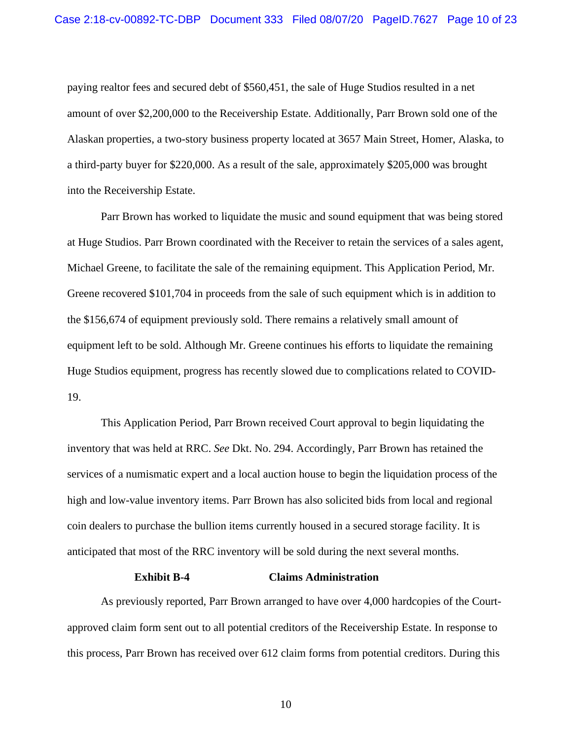paying realtor fees and secured debt of \$560,451, the sale of Huge Studios resulted in a net amount of over \$2,200,000 to the Receivership Estate. Additionally, Parr Brown sold one of the Alaskan properties, a two-story business property located at 3657 Main Street, Homer, Alaska, to a third-party buyer for \$220,000. As a result of the sale, approximately \$205,000 was brought into the Receivership Estate.

Parr Brown has worked to liquidate the music and sound equipment that was being stored at Huge Studios. Parr Brown coordinated with the Receiver to retain the services of a sales agent, Michael Greene, to facilitate the sale of the remaining equipment. This Application Period, Mr. Greene recovered \$101,704 in proceeds from the sale of such equipment which is in addition to the \$156,674 of equipment previously sold. There remains a relatively small amount of equipment left to be sold. Although Mr. Greene continues his efforts to liquidate the remaining Huge Studios equipment, progress has recently slowed due to complications related to COVID-19.

This Application Period, Parr Brown received Court approval to begin liquidating the inventory that was held at RRC. *See* Dkt. No. 294. Accordingly, Parr Brown has retained the services of a numismatic expert and a local auction house to begin the liquidation process of the high and low-value inventory items. Parr Brown has also solicited bids from local and regional coin dealers to purchase the bullion items currently housed in a secured storage facility. It is anticipated that most of the RRC inventory will be sold during the next several months.

### **Exhibit B-4 Claims Administration**

As previously reported, Parr Brown arranged to have over 4,000 hardcopies of the Courtapproved claim form sent out to all potential creditors of the Receivership Estate. In response to this process, Parr Brown has received over 612 claim forms from potential creditors. During this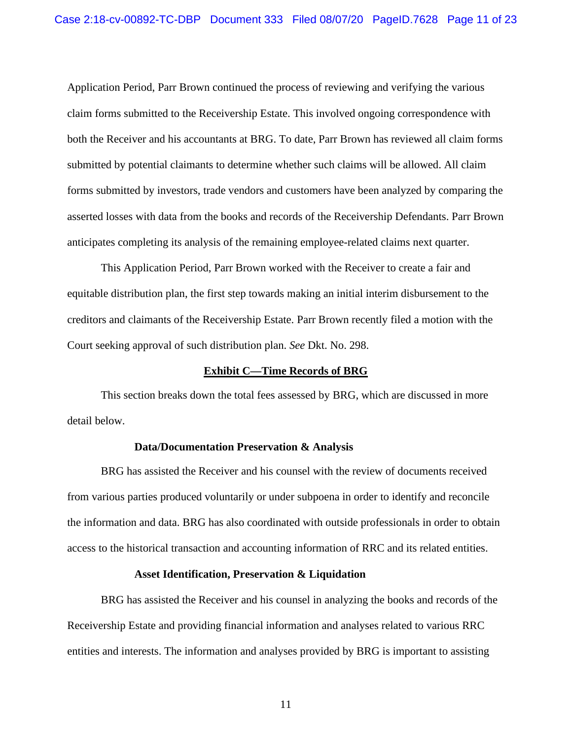Application Period, Parr Brown continued the process of reviewing and verifying the various claim forms submitted to the Receivership Estate. This involved ongoing correspondence with both the Receiver and his accountants at BRG. To date, Parr Brown has reviewed all claim forms submitted by potential claimants to determine whether such claims will be allowed. All claim forms submitted by investors, trade vendors and customers have been analyzed by comparing the asserted losses with data from the books and records of the Receivership Defendants. Parr Brown anticipates completing its analysis of the remaining employee-related claims next quarter.

This Application Period, Parr Brown worked with the Receiver to create a fair and equitable distribution plan, the first step towards making an initial interim disbursement to the creditors and claimants of the Receivership Estate. Parr Brown recently filed a motion with the Court seeking approval of such distribution plan. *See* Dkt. No. 298.

#### **Exhibit C—Time Records of BRG**

This section breaks down the total fees assessed by BRG, which are discussed in more detail below.

#### **Data/Documentation Preservation & Analysis**

BRG has assisted the Receiver and his counsel with the review of documents received from various parties produced voluntarily or under subpoena in order to identify and reconcile the information and data. BRG has also coordinated with outside professionals in order to obtain access to the historical transaction and accounting information of RRC and its related entities.

#### **Asset Identification, Preservation & Liquidation**

BRG has assisted the Receiver and his counsel in analyzing the books and records of the Receivership Estate and providing financial information and analyses related to various RRC entities and interests. The information and analyses provided by BRG is important to assisting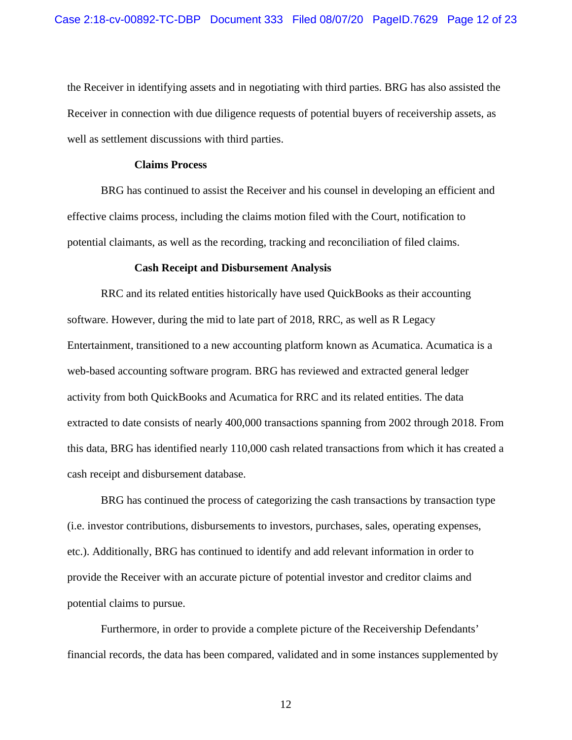the Receiver in identifying assets and in negotiating with third parties. BRG has also assisted the Receiver in connection with due diligence requests of potential buyers of receivership assets, as well as settlement discussions with third parties.

## **Claims Process**

BRG has continued to assist the Receiver and his counsel in developing an efficient and effective claims process, including the claims motion filed with the Court, notification to potential claimants, as well as the recording, tracking and reconciliation of filed claims.

#### **Cash Receipt and Disbursement Analysis**

RRC and its related entities historically have used QuickBooks as their accounting software. However, during the mid to late part of 2018, RRC, as well as R Legacy Entertainment, transitioned to a new accounting platform known as Acumatica. Acumatica is a web-based accounting software program. BRG has reviewed and extracted general ledger activity from both QuickBooks and Acumatica for RRC and its related entities. The data extracted to date consists of nearly 400,000 transactions spanning from 2002 through 2018. From this data, BRG has identified nearly 110,000 cash related transactions from which it has created a cash receipt and disbursement database.

BRG has continued the process of categorizing the cash transactions by transaction type (i.e. investor contributions, disbursements to investors, purchases, sales, operating expenses, etc.). Additionally, BRG has continued to identify and add relevant information in order to provide the Receiver with an accurate picture of potential investor and creditor claims and potential claims to pursue.

Furthermore, in order to provide a complete picture of the Receivership Defendants' financial records, the data has been compared, validated and in some instances supplemented by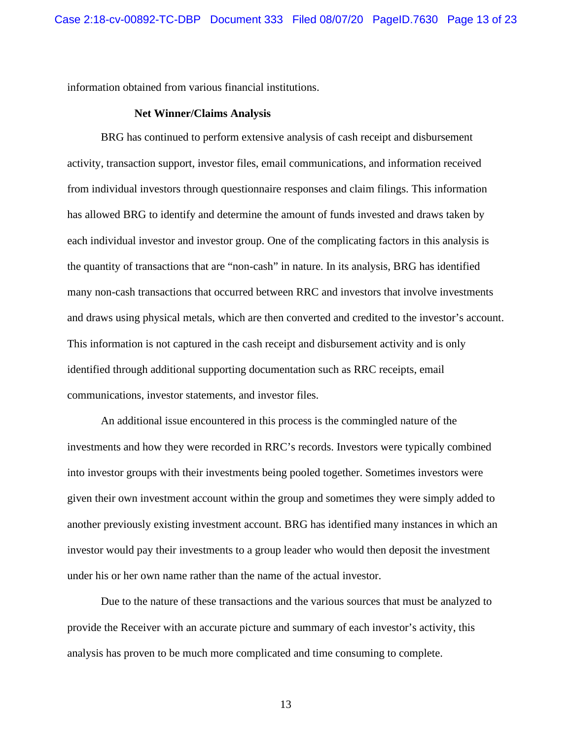information obtained from various financial institutions.

#### **Net Winner/Claims Analysis**

BRG has continued to perform extensive analysis of cash receipt and disbursement activity, transaction support, investor files, email communications, and information received from individual investors through questionnaire responses and claim filings. This information has allowed BRG to identify and determine the amount of funds invested and draws taken by each individual investor and investor group. One of the complicating factors in this analysis is the quantity of transactions that are "non-cash" in nature. In its analysis, BRG has identified many non-cash transactions that occurred between RRC and investors that involve investments and draws using physical metals, which are then converted and credited to the investor's account. This information is not captured in the cash receipt and disbursement activity and is only identified through additional supporting documentation such as RRC receipts, email communications, investor statements, and investor files.

An additional issue encountered in this process is the commingled nature of the investments and how they were recorded in RRC's records. Investors were typically combined into investor groups with their investments being pooled together. Sometimes investors were given their own investment account within the group and sometimes they were simply added to another previously existing investment account. BRG has identified many instances in which an investor would pay their investments to a group leader who would then deposit the investment under his or her own name rather than the name of the actual investor.

Due to the nature of these transactions and the various sources that must be analyzed to provide the Receiver with an accurate picture and summary of each investor's activity, this analysis has proven to be much more complicated and time consuming to complete.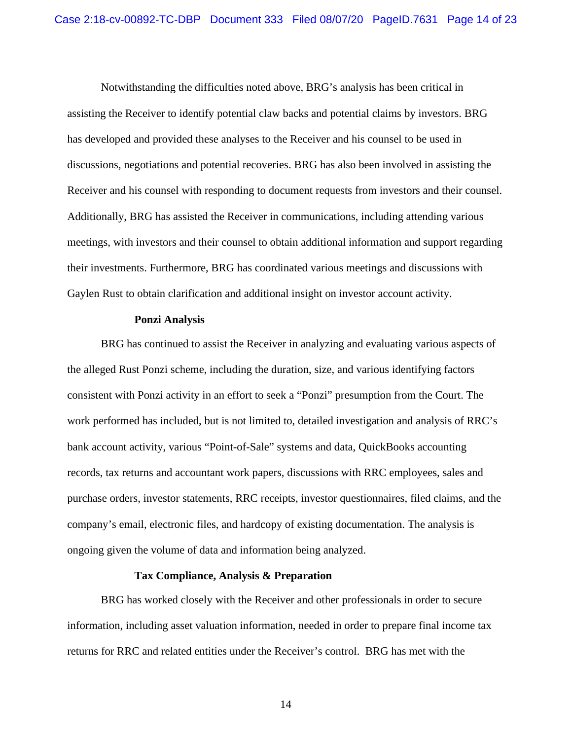Notwithstanding the difficulties noted above, BRG's analysis has been critical in assisting the Receiver to identify potential claw backs and potential claims by investors. BRG has developed and provided these analyses to the Receiver and his counsel to be used in discussions, negotiations and potential recoveries. BRG has also been involved in assisting the Receiver and his counsel with responding to document requests from investors and their counsel. Additionally, BRG has assisted the Receiver in communications, including attending various meetings, with investors and their counsel to obtain additional information and support regarding their investments. Furthermore, BRG has coordinated various meetings and discussions with Gaylen Rust to obtain clarification and additional insight on investor account activity.

#### **Ponzi Analysis**

BRG has continued to assist the Receiver in analyzing and evaluating various aspects of the alleged Rust Ponzi scheme, including the duration, size, and various identifying factors consistent with Ponzi activity in an effort to seek a "Ponzi" presumption from the Court. The work performed has included, but is not limited to, detailed investigation and analysis of RRC's bank account activity, various "Point-of-Sale" systems and data, QuickBooks accounting records, tax returns and accountant work papers, discussions with RRC employees, sales and purchase orders, investor statements, RRC receipts, investor questionnaires, filed claims, and the company's email, electronic files, and hardcopy of existing documentation. The analysis is ongoing given the volume of data and information being analyzed.

#### **Tax Compliance, Analysis & Preparation**

BRG has worked closely with the Receiver and other professionals in order to secure information, including asset valuation information, needed in order to prepare final income tax returns for RRC and related entities under the Receiver's control. BRG has met with the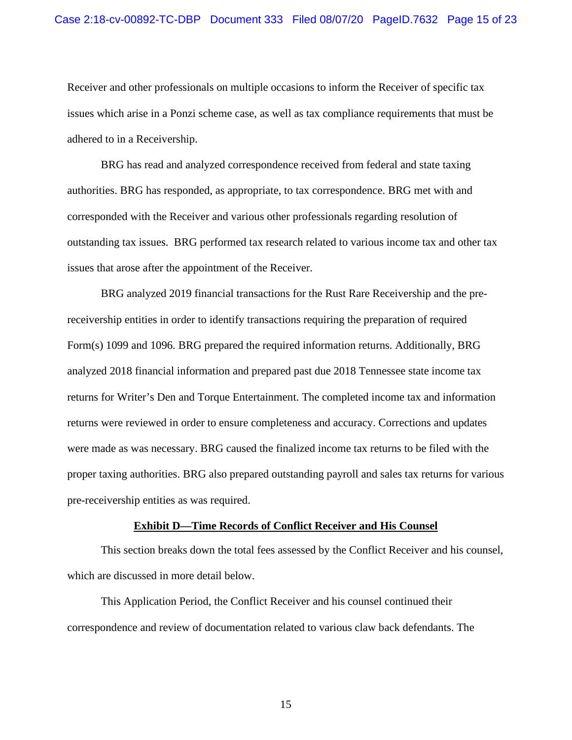Receiver and other professionals on multiple occasions to inform the Receiver of specific tax issues which arise in a Ponzi scheme case, as well as tax compliance requirements that must be adhered to in a Receivership.

BRG has read and analyzed correspondence received from federal and state taxing authorities. BRG has responded, as appropriate, to tax correspondence. BRG met with and corresponded with the Receiver and various other professionals regarding resolution of outstanding tax issues. BRG performed tax research related to various income tax and other tax issues that arose after the appointment of the Receiver.

BRG analyzed 2019 financial transactions for the Rust Rare Receivership and the prereceivership entities in order to identify transactions requiring the preparation of required Form(s) 1099 and 1096. BRG prepared the required information returns. Additionally, BRG analyzed 2018 financial information and prepared past due 2018 Tennessee state income tax returns for Writer's Den and Torque Entertainment. The completed income tax and information returns were reviewed in order to ensure completeness and accuracy. Corrections and updates were made as was necessary. BRG caused the finalized income tax returns to be filed with the proper taxing authorities. BRG also prepared outstanding payroll and sales tax returns for various pre-receivership entities as was required.

#### **Exhibit D—Time Records of Conflict Receiver and His Counsel**

This section breaks down the total fees assessed by the Conflict Receiver and his counsel, which are discussed in more detail below.

This Application Period, the Conflict Receiver and his counsel continued their correspondence and review of documentation related to various claw back defendants. The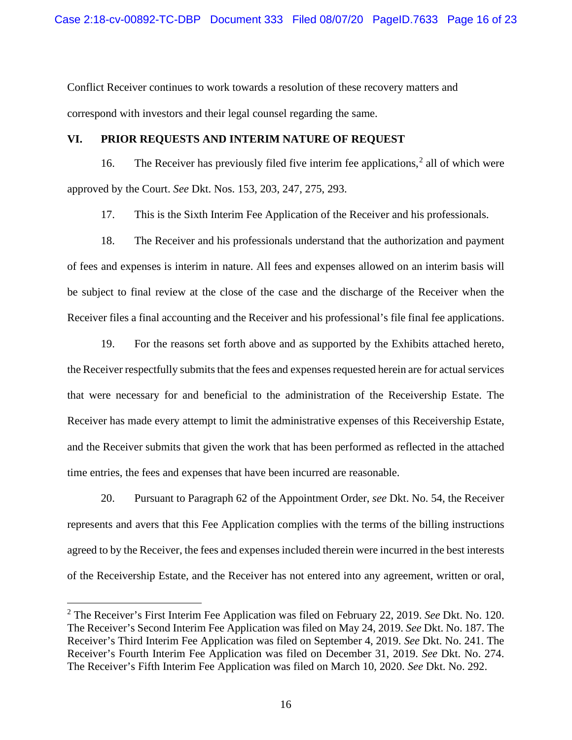Conflict Receiver continues to work towards a resolution of these recovery matters and correspond with investors and their legal counsel regarding the same.

## **VI. PRIOR REQUESTS AND INTERIM NATURE OF REQUEST**

16. The Receiver has previously filed five interim fee applications,<sup>[2](#page-15-0)</sup> all of which were approved by the Court. *See* Dkt. Nos. 153, 203, 247, 275, 293.

17. This is the Sixth Interim Fee Application of the Receiver and his professionals.

18. The Receiver and his professionals understand that the authorization and payment of fees and expenses is interim in nature. All fees and expenses allowed on an interim basis will be subject to final review at the close of the case and the discharge of the Receiver when the Receiver files a final accounting and the Receiver and his professional's file final fee applications.

19. For the reasons set forth above and as supported by the Exhibits attached hereto, the Receiver respectfully submits that the fees and expenses requested herein are for actual services that were necessary for and beneficial to the administration of the Receivership Estate. The Receiver has made every attempt to limit the administrative expenses of this Receivership Estate, and the Receiver submits that given the work that has been performed as reflected in the attached time entries, the fees and expenses that have been incurred are reasonable.

20. Pursuant to Paragraph 62 of the Appointment Order, *see* Dkt. No. 54, the Receiver represents and avers that this Fee Application complies with the terms of the billing instructions agreed to by the Receiver, the fees and expenses included therein were incurred in the best interests of the Receivership Estate, and the Receiver has not entered into any agreement, written or oral,

<span id="page-15-0"></span><sup>2</sup> The Receiver's First Interim Fee Application was filed on February 22, 2019. *See* Dkt. No. 120. The Receiver's Second Interim Fee Application was filed on May 24, 2019. *See* Dkt. No. 187. The Receiver's Third Interim Fee Application was filed on September 4, 2019. *See* Dkt. No. 241. The Receiver's Fourth Interim Fee Application was filed on December 31, 2019. *See* Dkt. No. 274. The Receiver's Fifth Interim Fee Application was filed on March 10, 2020. *See* Dkt. No. 292.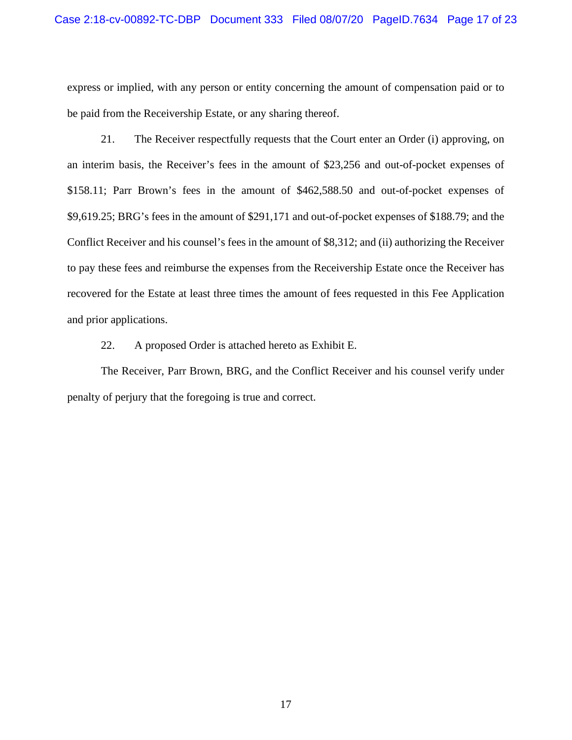express or implied, with any person or entity concerning the amount of compensation paid or to be paid from the Receivership Estate, or any sharing thereof.

21. The Receiver respectfully requests that the Court enter an Order (i) approving, on an interim basis, the Receiver's fees in the amount of \$23,256 and out-of-pocket expenses of \$158.11; Parr Brown's fees in the amount of \$462,588.50 and out-of-pocket expenses of \$9,619.25; BRG's fees in the amount of \$291,171 and out-of-pocket expenses of \$188.79; and the Conflict Receiver and his counsel's fees in the amount of \$8,312; and (ii) authorizing the Receiver to pay these fees and reimburse the expenses from the Receivership Estate once the Receiver has recovered for the Estate at least three times the amount of fees requested in this Fee Application and prior applications.

22. A proposed Order is attached hereto as Exhibit E.

The Receiver, Parr Brown, BRG, and the Conflict Receiver and his counsel verify under penalty of perjury that the foregoing is true and correct.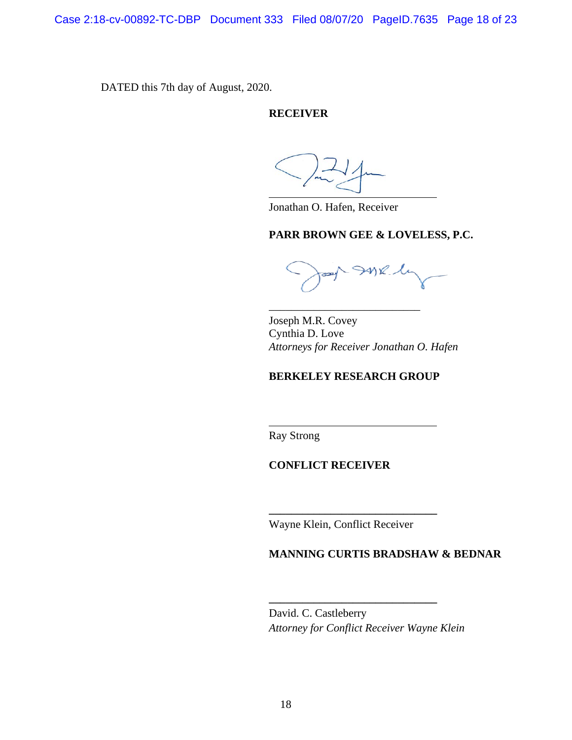Case 2:18-cv-00892-TC-DBP Document 333 Filed 08/07/20 PageID.7635 Page 18 of 23

DATED this 7th day of August, 2020.

## **RECEIVER**

Jonathan O. Hafen, Receiver

### **PARR BROWN GEE & LOVELESS, P.C.**

 $\mathcal{W}$ l

Joseph M.R. Covey Cynthia D. Love *Attorneys for Receiver Jonathan O. Hafen*

## **BERKELEY RESEARCH GROUP**

\_\_\_\_\_\_\_\_\_\_\_\_\_\_\_\_\_\_\_\_\_\_\_\_\_\_\_

Ray Strong

## **CONFLICT RECEIVER**

Wayne Klein, Conflict Receiver

**\_\_\_\_\_\_\_\_\_\_\_\_\_\_\_\_\_\_\_\_\_\_\_\_\_\_\_\_\_\_**

## **MANNING CURTIS BRADSHAW & BEDNAR**

David. C. Castleberry *Attorney for Conflict Receiver Wayne Klein*

**\_\_\_\_\_\_\_\_\_\_\_\_\_\_\_\_\_\_\_\_\_\_\_\_\_\_\_\_\_\_**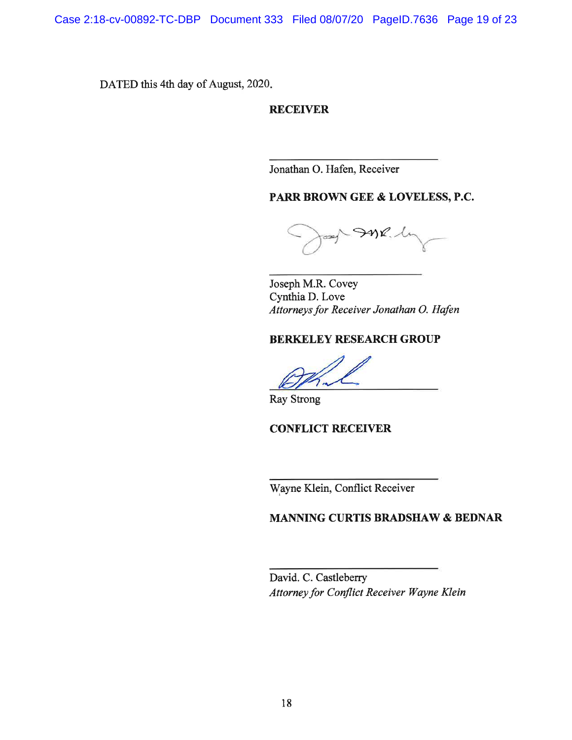Case 2:18-cv-00892-TC-DBP Document 333 Filed 08/07/20 PageID.7636 Page 19 of 23

DATED this 4th day of August, 2020.

**RECEIVER** 

Jonathan O. Hafen, Receiver

# PARR BROWN GEE & LOVELESS, P.C.

oay InR.h

Joseph M.R. Covey Cynthia D. Love Attorneys for Receiver Jonathan O. Hafen

## **BERKELEY RESEARCH GROUP**

**Ray Strong** 

**CONFLICT RECEIVER** 

Wayne Klein, Conflict Receiver

## **MANNING CURTIS BRADSHAW & BEDNAR**

David. C. Castleberry Attorney for Conflict Receiver Wayne Klein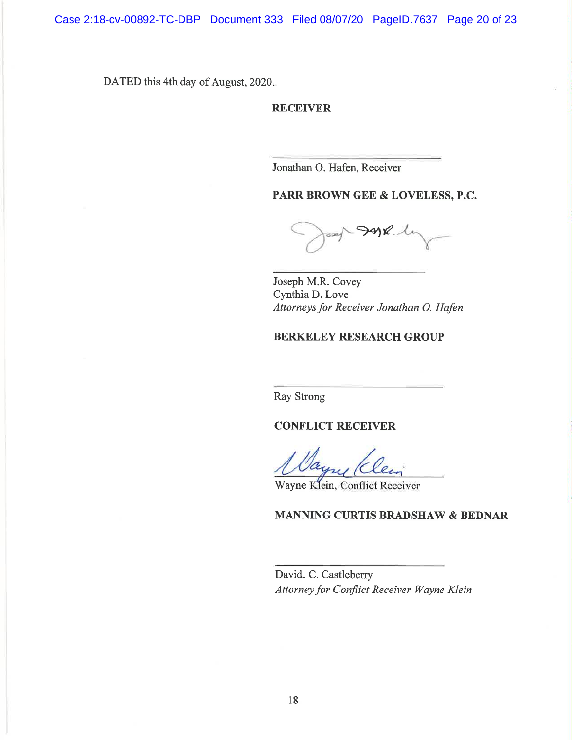DATED this 4th day of August, 2020.

## **RECEIVER**

Jonathan O. Hafen, Receiver

PARR BROWN GEE & LOVELESS, P.C.

 $-992$ 

Joseph M.R. Covey Cynthia D. Love Attorneys for Receiver Jonathan O. Hafen

## **BERKELEY RESEARCH GROUP**

**Ray Strong** 

**CONFLICT RECEIVER** 

Wayne Klein, Conflict Receiver

## MANNING CURTIS BRADSHAW & BEDNAR

David. C. Castleberry Attorney for Conflict Receiver Wayne Klein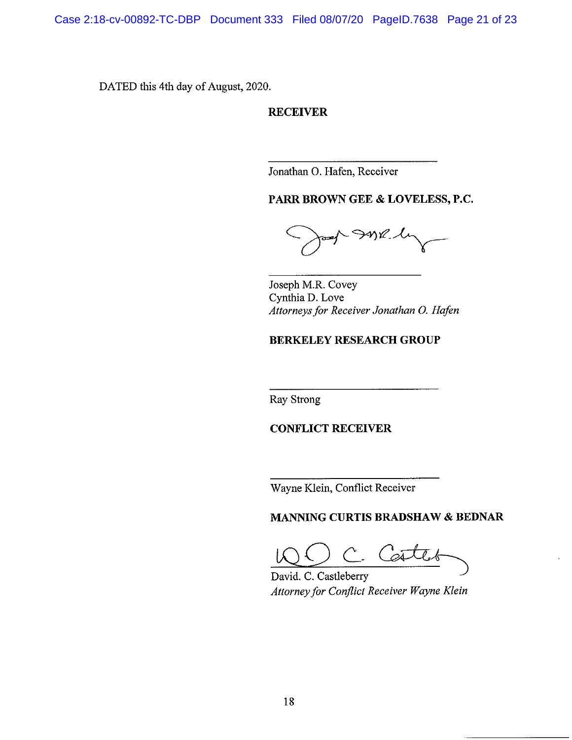Case 2:18-cv-00892-TC-DBP Document 333 Filed 08/07/20 PageID.7638 Page 21 of 23

DATED this 4th day of August, 2020.

**RECEIVER** 

Jonathan O. Hafen, Receiver

PARR BROWN GEE & LOVELESS, P.C.

Ink.h

Joseph M.R. Covey Cynthia D. Love Attorneys for Receiver Jonathan O. Hafen

# **BERKELEY RESEARCH GROUP**

Ray Strong

**CONFLICT RECEIVER** 

Wayne Klein, Conflict Receiver

MANNING CURTIS BRADSHAW & BEDNAR

Ā

David. C. Castleberry Attorney for Conflict Receiver Wayne Klein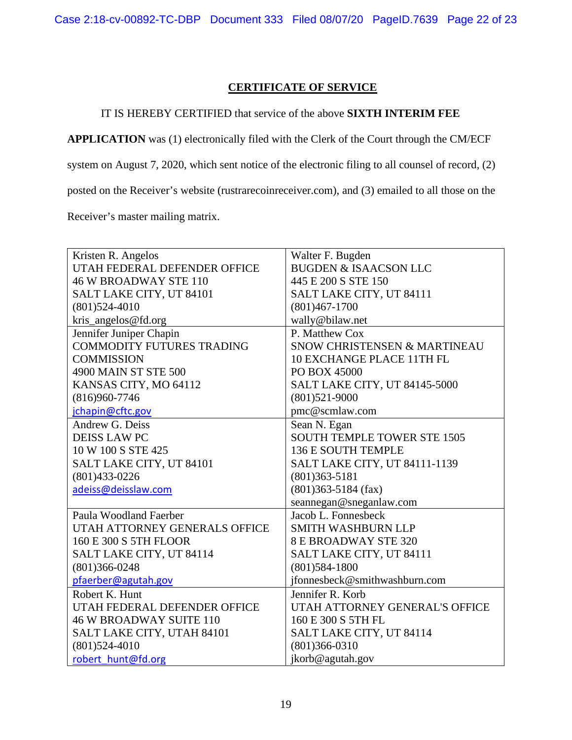# **CERTIFICATE OF SERVICE**

## IT IS HEREBY CERTIFIED that service of the above **SIXTH INTERIM FEE**

**APPLICATION** was (1) electronically filed with the Clerk of the Court through the CM/ECF

system on August 7, 2020, which sent notice of the electronic filing to all counsel of record, (2)

posted on the Receiver's website (rustrarecoinreceiver.com), and (3) emailed to all those on the

Receiver's master mailing matrix.

| Kristen R. Angelos               | Walter F. Bugden                   |
|----------------------------------|------------------------------------|
| UTAH FEDERAL DEFENDER OFFICE     | <b>BUGDEN &amp; ISAACSON LLC</b>   |
| <b>46 W BROADWAY STE 110</b>     | 445 E 200 S STE 150                |
| SALT LAKE CITY, UT 84101         | SALT LAKE CITY, UT 84111           |
| $(801)524-4010$                  | $(801)467 - 1700$                  |
| kris_angelos@fd.org              | wally@bilaw.net                    |
| Jennifer Juniper Chapin          | P. Matthew Cox                     |
| <b>COMMODITY FUTURES TRADING</b> | SNOW CHRISTENSEN & MARTINEAU       |
| <b>COMMISSION</b>                | 10 EXCHANGE PLACE 11TH FL          |
| 4900 MAIN ST STE 500             | PO BOX 45000                       |
| KANSAS CITY, MO 64112            | SALT LAKE CITY, UT 84145-5000      |
| $(816)960 - 7746$                | $(801)521 - 9000$                  |
| jchapin@cftc.gov                 | pmc@scmlaw.com                     |
| Andrew G. Deiss                  | Sean N. Egan                       |
| <b>DEISS LAW PC</b>              | <b>SOUTH TEMPLE TOWER STE 1505</b> |
| 10 W 100 S STE 425               | 136 E SOUTH TEMPLE                 |
| SALT LAKE CITY, UT 84101         | SALT LAKE CITY, UT 84111-1139      |
| $(801)433-0226$                  | $(801)363 - 5181$                  |
| adeiss@deisslaw.com              | $(801)363 - 5184$ (fax)            |
|                                  | seannegan@sneganlaw.com            |
| Paula Woodland Faerber           | Jacob L. Fonnesbeck                |
| UTAH ATTORNEY GENERALS OFFICE    | <b>SMITH WASHBURN LLP</b>          |
| 160 E 300 S 5TH FLOOR            | <b>8 E BROADWAY STE 320</b>        |
| SALT LAKE CITY, UT 84114         | SALT LAKE CITY, UT 84111           |
| $(801)366 - 0248$                | $(801)584 - 1800$                  |
| pfaerber@agutah.gov              | jfonnesbeck@smithwashburn.com      |
| Robert K. Hunt                   | Jennifer R. Korb                   |
| UTAH FEDERAL DEFENDER OFFICE     | UTAH ATTORNEY GENERAL'S OFFICE     |
| <b>46 W BROADWAY SUITE 110</b>   | 160 E 300 S 5TH FL                 |
| SALT LAKE CITY, UTAH 84101       | SALT LAKE CITY, UT 84114           |
| $(801)524-4010$                  | $(801)366-0310$                    |
| robert hunt@fd.org               | jkorb@agutah.gov                   |